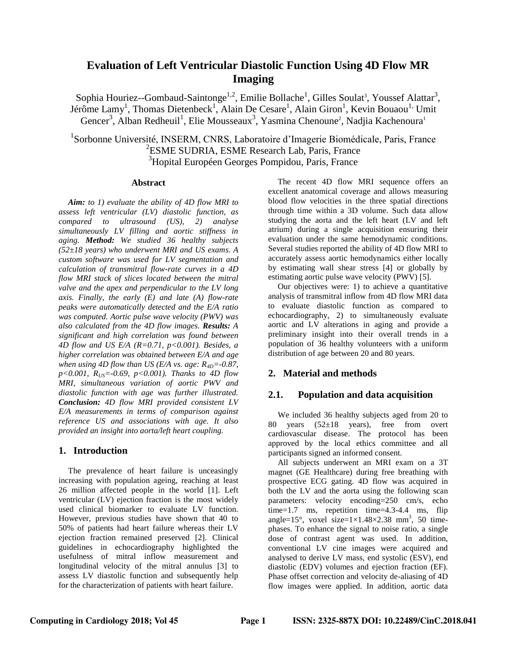# **Evaluation of Left Ventricular Diastolic Function Using 4D Flow MR Imaging**

Sophia Houriez--Gombaud-Saintonge<sup>1,2</sup>, Emilie Bollache<sup>1</sup>, Gilles Soulat<sup>3</sup>, Youssef Alattar<sup>3</sup>, Jérôme Lamy<sup>1</sup>, Thomas Dietenbeck<sup>1</sup>, Alain De Cesare<sup>1</sup>, Alain Giron<sup>1</sup>, Kevin Bouaou<sup>1,</sup> Umit Gencer<sup>3</sup>, Alban Redheuil<sup>1</sup>, Elie Mousseaux<sup>3</sup>, Yasmina Chenoune<sup>2</sup>, Nadjia Kachenoura<sup>1</sup>

<sup>1</sup>Sorbonne Université, INSERM, CNRS, Laboratoire d'Imagerie Biomédicale, Paris, France 2 ESME SUDRIA, ESME Research Lab, Paris, France <sup>3</sup>Hopital Européen Georges Pompidou, Paris, France

#### **Abstract**

*Aim: to 1) evaluate the ability of 4D flow MRI to assess left ventricular (LV) diastolic function, as compared to ultrasound (US), 2) analyse simultaneously LV filling and aortic stiffness in aging. Method: We studied 36 healthy subjects (52±18 years) who underwent MRI and US exams. A custom software was used for LV segmentation and calculation of transmitral flow-rate curves in a 4D flow MRI stack of slices located between the mitral valve and the apex and perpendicular to the LV long axis. Finally, the early (E) and late (A) flow-rate peaks were automatically detected and the E/A ratio was computed. Aortic pulse wave velocity (PWV) was also calculated from the 4D flow images. Results: A significant and high correlation was found between 4D flow and US E/A (R=0.71, p<0.001). Besides, a higher correlation was obtained between E/A and age*  when using 4D flow than US (E/A vs. age:  $R_{4D} = -0.87$ , *p<0.001, RUS=-0.69, p<0.001). Thanks to 4D flow MRI, simultaneous variation of aortic PWV and diastolic function with age was further illustrated. Conclusion: 4D flow MRI provided consistent LV E/A measurements in terms of comparison against reference US and associations with age. It also provided an insight into aorta/left heart coupling.*

### **1. Introduction**

The prevalence of heart failure is unceasingly increasing with population ageing, reaching at least 26 million affected people in the world [1]. Left ventricular (LV) ejection fraction is the most widely used clinical biomarker to evaluate LV function. However, previous studies have shown that 40 to 50% of patients had heart failure whereas their LV ejection fraction remained preserved [2]. Clinical guidelines in echocardiography highlighted the usefulness of mitral inflow measurement and longitudinal velocity of the mitral annulus [3] to assess LV diastolic function and subsequently help for the characterization of patients with heart failure.

The recent 4D flow MRI sequence offers an excellent anatomical coverage and allows measuring blood flow velocities in the three spatial directions through time within a 3D volume. Such data allow studying the aorta and the left heart (LV and left atrium) during a single acquisition ensuring their evaluation under the same hemodynamic conditions. Several studies reported the ability of 4D flow MRI to accurately assess aortic hemodynamics either locally by estimating wall shear stress [4] or globally by estimating aortic pulse wave velocity (PWV) [5].

Our objectives were: 1) to achieve a quantitative analysis of transmitral inflow from 4D flow MRI data to evaluate diastolic function as compared to echocardiography, 2) to simultaneously evaluate aortic and LV alterations in aging and provide a preliminary insight into their overall trends in a population of 36 healthy volunteers with a uniform distribution of age between 20 and 80 years.

# **2. Material and methods**

# **2.1. Population and data acquisition**

We included 36 healthy subjects aged from 20 to 80 years  $(52\pm 18$  years), free from overt cardiovascular disease. The protocol has been approved by the local ethics committee and all participants signed an informed consent.

All subjects underwent an MRI exam on a 3T magnet (GE Healthcare) during free breathing with prospective ECG gating. 4D flow was acquired in both the LV and the aorta using the following scan parameters: velocity encoding=250 cm/s, echo time=1.7 ms, repetition time=4.3-4.4 ms, flip angle=15°, voxel size=1×1.48×2.38 mm<sup>3</sup>, 50 timephases. To enhance the signal to noise ratio, a single dose of contrast agent was used. In addition, conventional LV cine images were acquired and analysed to derive LV mass, end systolic (ESV), end diastolic (EDV) volumes and ejection fraction (EF). Phase offset correction and velocity de-aliasing of 4D flow images were applied. In addition, aortic data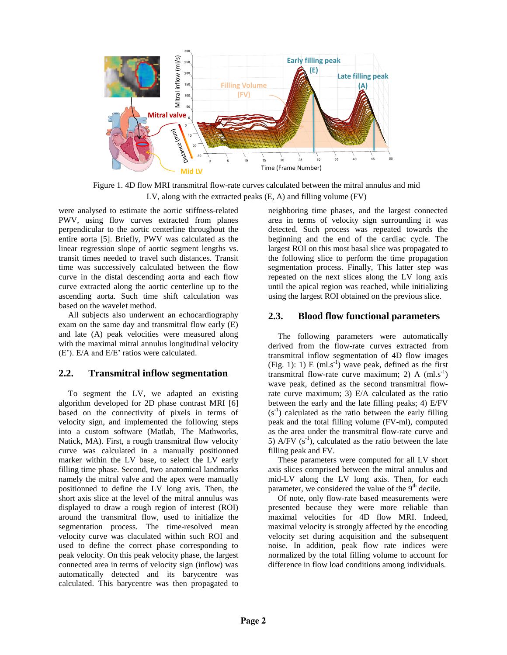

Figure 1. 4D flow MRI transmitral flow-rate curves calculated between the mitral annulus and mid LV, along with the extracted peaks (E, A) and filling volume (FV)

were analysed to estimate the aortic stiffness-related PWV, using flow curves extracted from planes perpendicular to the aortic centerline throughout the entire aorta [5]. Briefly, PWV was calculated as the linear regression slope of aortic segment lengths vs. transit times needed to travel such distances. Transit time was successively calculated between the flow curve in the distal descending aorta and each flow curve extracted along the aortic centerline up to the ascending aorta. Such time shift calculation was based on the wavelet method.

All subjects also underwent an echocardiography exam on the same day and transmitral flow early (E) and late (A) peak velocities were measured along with the maximal mitral annulus longitudinal velocity (E'). E/A and E/E' ratios were calculated.

## **2.2. Transmitral inflow segmentation**

To segment the LV, we adapted an existing algorithm developed for 2D phase contrast MRI [6] based on the connectivity of pixels in terms of velocity sign, and implemented the following steps into a custom software (Matlab, The Mathworks, Natick, MA). First, a rough transmitral flow velocity curve was calculated in a manually positionned marker within the LV base, to select the LV early filling time phase. Second, two anatomical landmarks namely the mitral valve and the apex were manually positionned to define the LV long axis. Then, the short axis slice at the level of the mitral annulus was displayed to draw a rough region of interest (ROI) around the transmitral flow, used to initialize the segmentation process. The time-resolved mean velocity curve was claculated within such ROI and used to define the correct phase corresponding to peak velocity. On this peak velocity phase, the largest connected area in terms of velocity sign (inflow) was automatically detected and its barycentre was calculated. This barycentre was then propagated to neighboring time phases, and the largest connected area in terms of velocity sign surrounding it was detected. Such process was repeated towards the beginning and the end of the cardiac cycle. The largest ROI on this most basal slice was propagated to the following slice to perform the time propagation segmentation process. Finally, This latter step was repeated on the next slices along the LV long axis until the apical region was reached, while initializing using the largest ROI obtained on the previous slice.

### **2.3. Blood flow functional parameters**

The following parameters were automatically derived from the flow-rate curves extracted from transmitral inflow segmentation of 4D flow images (Fig. 1): 1) E  $(mls^{-1})$  wave peak, defined as the first transmitral flow-rate curve maximum; 2) A  $(m!.s^{-1})$ wave peak, defined as the second transmitral flowrate curve maximum; 3) E/A calculated as the ratio between the early and the late filling peaks; 4) E/FV  $(s<sup>-1</sup>)$  calculated as the ratio between the early filling peak and the total filling volume (FV-ml), computed as the area under the transmitral flow-rate curve and 5) A/FV  $(s^{-1})$ , calculated as the ratio between the late filling peak and FV.

These parameters were computed for all LV short axis slices comprised between the mitral annulus and mid-LV along the LV long axis. Then, for each parameter, we considered the value of the 9<sup>th</sup> decile.

Of note, only flow-rate based measurements were presented because they were more reliable than maximal velocities for 4D flow MRI. Indeed, maximal velocity is strongly affected by the encoding velocity set during acquisition and the subsequent noise. In addition, peak flow rate indices were normalized by the total filling volume to account for difference in flow load conditions among individuals.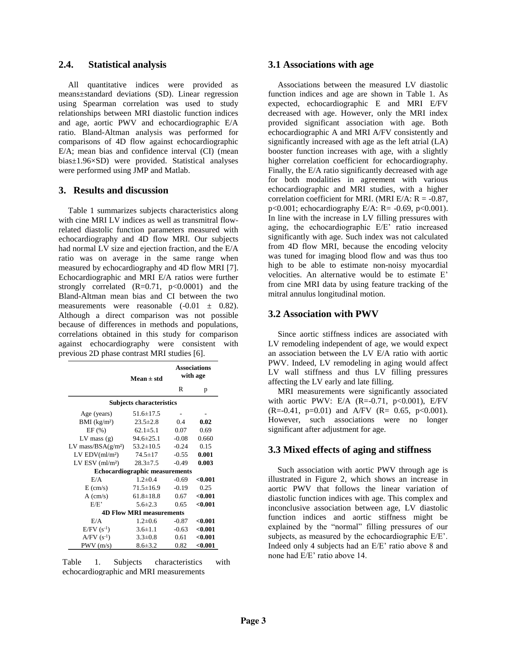#### **2.4. Statistical analysis**

All quantitative indices were provided as means±standard deviations (SD). Linear regression using Spearman correlation was used to study relationships between MRI diastolic function indices and age, aortic PWV and echocardiographic E/A ratio. Bland-Altman analysis was performed for comparisons of 4D flow against echocardiographic E/A; mean bias and confidence interval (CI) (mean bias±1.96×SD) were provided. Statistical analyses were performed using JMP and Matlab.

#### **3. Results and discussion**

Table 1 summarizes subjects characteristics along with cine MRI LV indices as well as transmitral flowrelated diastolic function parameters measured with echocardiography and 4D flow MRI. Our subjects had normal LV size and ejection fraction, and the E/A ratio was on average in the same range when measured by echocardiography and 4D flow MRI [7]. Echocardiographic and MRI E/A ratios were further strongly correlated  $(R=0.71, p<0.0001)$  and the Bland-Altman mean bias and CI between the two measurements were reasonable  $(-0.01 \pm 0.82)$ . Although a direct comparison was not possible because of differences in methods and populations, correlations obtained in this study for comparison against echocardiography were consistent with previous 2D phase contrast MRI studies [6].

|                                       | $Mean \pm std$  | <b>Associations</b><br>with age |         |
|---------------------------------------|-----------------|---------------------------------|---------|
|                                       |                 | R                               | p       |
| <b>Subjects characteristics</b>       |                 |                                 |         |
| Age (years)                           | $51.6 \pm 17.5$ |                                 |         |
| BMI (kg/m <sup>2</sup> )              | $23.5 \pm 2.8$  | 0.4                             | 0.02    |
| EF(%)                                 | $62.1 \pm 5.1$  | 0.07                            | 0.69    |
| $LV$ mass $(g)$                       | 94.6±25.1       | $-0.08$                         | 0.660   |
| LV mass/BSA $(g/m^2)$ 53.2 $\pm$ 10.5 |                 | $-0.24$                         | 0.15    |
| $LV$ EDV $(ml/m2)$                    | 74.5±17         | $-0.55$                         | 0.001   |
| LV ESV $(ml/m2)$                      | $28.3 \pm 7.5$  | $-0.49$                         | 0.003   |
| <b>Echocardiographic measurements</b> |                 |                                 |         |
| E/A                                   | $1.2 \pm 0.4$   | $-0.69$                         | < 0.001 |
| $E \text{ (cm/s)}$                    | $71.5 \pm 16.9$ | $-0.19$                         | 0.25    |
| A (cm/s)                              | $61.8 \pm 18.8$ | 0.67                            | < 0.001 |
| E/E                                   | $5.6 \pm 2.3$   | 0.65                            | < 0.001 |
| <b>4D Flow MRI measurements</b>       |                 |                                 |         |
| E/A                                   | $1.2 \pm 0.6$   | $-0.87$                         | < 0.001 |
| $E/FV$ (s <sup>-1</sup> )             | $3.6 \pm 1.1$   | $-0.63$                         | < 0.001 |
| $A/FV$ (s <sup>-1</sup> )             | $3.3 \pm 0.8$   | 0.61                            | < 0.001 |
| PWV(m/s)                              | $8.6 \pm 3.2$   | 0.82                            | < 0.001 |

Table 1. Subjects characteristics with echocardiographic and MRI measurements

#### **3.1 Associations with age**

Associations between the measured LV diastolic function indices and age are shown in Table 1. As expected, echocardiographic E and MRI E/FV decreased with age. However, only the MRI index provided significant association with age. Both echocardiographic A and MRI A/FV consistently and significantly increased with age as the left atrial (LA) booster function increases with age, with a slightly higher correlation coefficient for echocardiography. Finally, the E/A ratio significantly decreased with age for both modalities in agreement with various echocardiographic and MRI studies, with a higher correlation coefficient for MRI. (MRI E/A:  $R = -0.87$ ,  $p<0.001$ ; echocardiography E/A: R= -0.69,  $p<0.001$ ). In line with the increase in LV filling pressures with aging, the echocardiographic E/E' ratio increased significantly with age. Such index was not calculated from 4D flow MRI, because the encoding velocity was tuned for imaging blood flow and was thus too high to be able to estimate non-noisy myocardial velocities. An alternative would be to estimate E' from cine MRI data by using feature tracking of the mitral annulus longitudinal motion.

### **3.2 Association with PWV**

Since aortic stiffness indices are associated with LV remodeling independent of age, we would expect an association between the LV E/A ratio with aortic PWV. Indeed, LV remodeling in aging would affect LV wall stiffness and thus LV filling pressures affecting the LV early and late filling.

MRI measurements were significantly associated with aortic PWV: E/A  $(R=0.71, p<0.001)$ , E/FV  $(R=-0.41, p=0.01)$  and A/FV  $(R= 0.65, p<0.001)$ . However, such associations were no longer significant after adjustment for age.

#### **3.3 Mixed effects of aging and stiffness**

Such association with aortic PWV through age is illustrated in Figure 2, which shows an increase in aortic PWV that follows the linear variation of diastolic function indices with age. This complex and inconclusive association between age, LV diastolic function indices and aortic stiffness might be explained by the "normal" filling pressures of our subjects, as measured by the echocardiographic E/E'. Indeed only 4 subjects had an E/E' ratio above 8 and none had E/E' ratio above 14.